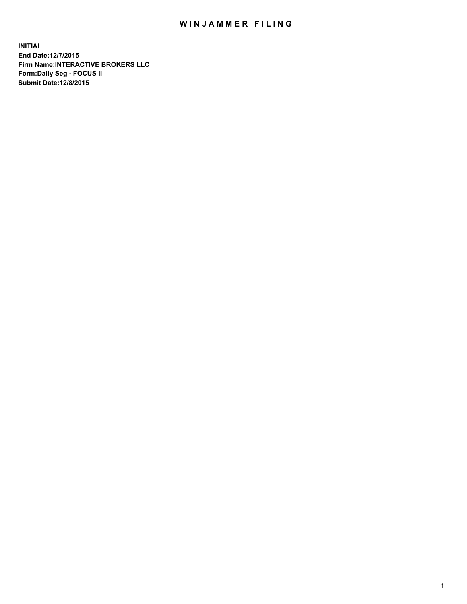## WIN JAMMER FILING

**INITIAL End Date:12/7/2015 Firm Name:INTERACTIVE BROKERS LLC Form:Daily Seg - FOCUS II Submit Date:12/8/2015**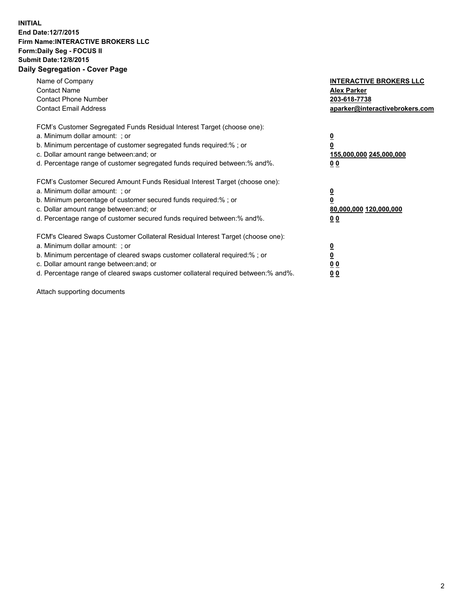## **INITIAL End Date:12/7/2015 Firm Name:INTERACTIVE BROKERS LLC Form:Daily Seg - FOCUS II Submit Date:12/8/2015 Daily Segregation - Cover Page**

| Name of Company<br><b>Contact Name</b><br><b>Contact Phone Number</b><br><b>Contact Email Address</b>                                                                                                                                                                                                                         | <b>INTERACTIVE BROKERS LLC</b><br><b>Alex Parker</b><br>203-618-7738<br>aparker@interactivebrokers.com |
|-------------------------------------------------------------------------------------------------------------------------------------------------------------------------------------------------------------------------------------------------------------------------------------------------------------------------------|--------------------------------------------------------------------------------------------------------|
| FCM's Customer Segregated Funds Residual Interest Target (choose one):<br>a. Minimum dollar amount: ; or<br>b. Minimum percentage of customer segregated funds required:% ; or<br>c. Dollar amount range between: and; or<br>d. Percentage range of customer segregated funds required between:% and%.                        | <u>0</u><br>155,000,000 245,000,000<br>0 <sub>0</sub>                                                  |
| FCM's Customer Secured Amount Funds Residual Interest Target (choose one):<br>a. Minimum dollar amount: ; or<br>b. Minimum percentage of customer secured funds required:%; or<br>c. Dollar amount range between: and; or<br>d. Percentage range of customer secured funds required between: % and %.                         | <u>0</u><br>80,000,000 120,000,000<br><u>00</u>                                                        |
| FCM's Cleared Swaps Customer Collateral Residual Interest Target (choose one):<br>a. Minimum dollar amount: ; or<br>b. Minimum percentage of cleared swaps customer collateral required:%; or<br>c. Dollar amount range between: and; or<br>d. Percentage range of cleared swaps customer collateral required between:% and%. | <u>0</u><br>0 <sub>0</sub><br>0 <sub>0</sub>                                                           |

Attach supporting documents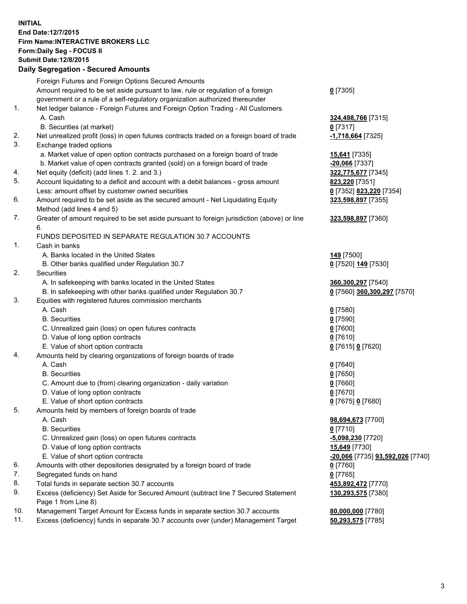## **INITIAL End Date:12/7/2015 Firm Name:INTERACTIVE BROKERS LLC Form:Daily Seg - FOCUS II Submit Date:12/8/2015 Daily Segregation - Secured Amounts**

|     | Dany Ocgregation - Oceanea Annoanta                                                                        |                                  |
|-----|------------------------------------------------------------------------------------------------------------|----------------------------------|
|     | Foreign Futures and Foreign Options Secured Amounts                                                        |                                  |
|     | Amount required to be set aside pursuant to law, rule or regulation of a foreign                           | $0$ [7305]                       |
|     | government or a rule of a self-regulatory organization authorized thereunder                               |                                  |
| 1.  | Net ledger balance - Foreign Futures and Foreign Option Trading - All Customers                            |                                  |
|     | A. Cash                                                                                                    | 324,498,766 [7315]               |
|     | B. Securities (at market)                                                                                  | $0$ [7317]                       |
| 2.  | Net unrealized profit (loss) in open futures contracts traded on a foreign board of trade                  | -1,718,664 [7325]                |
| 3.  | Exchange traded options                                                                                    |                                  |
|     | a. Market value of open option contracts purchased on a foreign board of trade                             | 15,641 [7335]                    |
|     | b. Market value of open contracts granted (sold) on a foreign board of trade                               | $-20,066$ [7337]                 |
| 4.  | Net equity (deficit) (add lines 1.2. and 3.)                                                               | 322,775,677 [7345]               |
| 5.  | Account liquidating to a deficit and account with a debit balances - gross amount                          | <b>823,220</b> [7351]            |
|     | Less: amount offset by customer owned securities                                                           | 0 [7352] 823,220 [7354]          |
| 6.  | Amount required to be set aside as the secured amount - Net Liquidating Equity                             | 323,598,897 [7355]               |
|     | Method (add lines 4 and 5)                                                                                 |                                  |
| 7.  | Greater of amount required to be set aside pursuant to foreign jurisdiction (above) or line                | 323,598,897 [7360]               |
|     | 6.                                                                                                         |                                  |
|     | FUNDS DEPOSITED IN SEPARATE REGULATION 30.7 ACCOUNTS                                                       |                                  |
| 1.  | Cash in banks                                                                                              |                                  |
|     | A. Banks located in the United States                                                                      | 149 [7500]                       |
|     | B. Other banks qualified under Regulation 30.7                                                             | 0 [7520] 149 [7530]              |
| 2.  | Securities                                                                                                 |                                  |
|     | A. In safekeeping with banks located in the United States                                                  | 360,300,297 [7540]               |
|     | B. In safekeeping with other banks qualified under Regulation 30.7                                         | 0 [7560] 360,300,297 [7570]      |
| 3.  | Equities with registered futures commission merchants                                                      |                                  |
|     | A. Cash                                                                                                    | $0$ [7580]                       |
|     | <b>B.</b> Securities                                                                                       | $0$ [7590]                       |
|     | C. Unrealized gain (loss) on open futures contracts                                                        | $0$ [7600]                       |
|     | D. Value of long option contracts                                                                          | $0$ [7610]                       |
|     | E. Value of short option contracts                                                                         | 0 [7615] 0 [7620]                |
| 4.  | Amounts held by clearing organizations of foreign boards of trade                                          |                                  |
|     | A. Cash                                                                                                    | $0$ [7640]                       |
|     | <b>B.</b> Securities                                                                                       | $0$ [7650]                       |
|     | C. Amount due to (from) clearing organization - daily variation                                            | $0$ [7660]                       |
|     | D. Value of long option contracts                                                                          | $0$ [7670]                       |
|     | E. Value of short option contracts                                                                         | 0 [7675] 0 [7680]                |
| 5.  | Amounts held by members of foreign boards of trade                                                         |                                  |
|     | A. Cash                                                                                                    | 98,694,673 [7700]                |
|     | <b>B.</b> Securities                                                                                       | $0$ [7710]                       |
|     | C. Unrealized gain (loss) on open futures contracts                                                        | $-5,098,230$ [7720]              |
|     | D. Value of long option contracts                                                                          | 15,649 [7730]                    |
|     | E. Value of short option contracts                                                                         | -20,066 [7735] 93,592,026 [7740] |
| 6.  | Amounts with other depositories designated by a foreign board of trade                                     | 0 [7760]                         |
| 7.  | Segregated funds on hand                                                                                   | $0$ [7765]                       |
| 8.  | Total funds in separate section 30.7 accounts                                                              | 453,892,472 [7770]               |
| 9.  | Excess (deficiency) Set Aside for Secured Amount (subtract line 7 Secured Statement<br>Page 1 from Line 8) | 130,293,575 [7380]               |
| 10. | Management Target Amount for Excess funds in separate section 30.7 accounts                                | 80,000,000 [7780]                |
| 11. | Excess (deficiency) funds in separate 30.7 accounts over (under) Management Target                         | 50,293,575 [7785]                |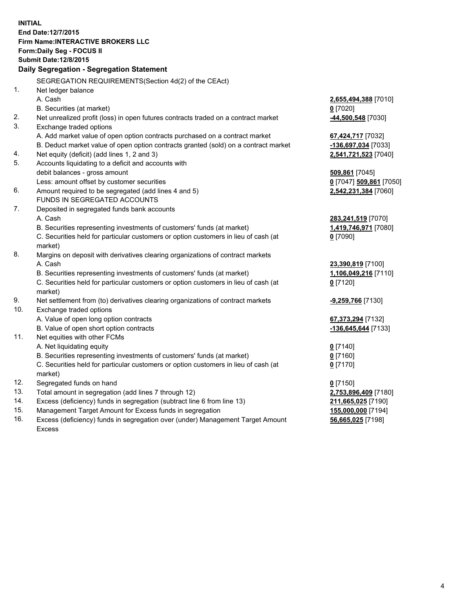**INITIAL End Date:12/7/2015 Firm Name:INTERACTIVE BROKERS LLC Form:Daily Seg - FOCUS II Submit Date:12/8/2015 Daily Segregation - Segregation Statement** SEGREGATION REQUIREMENTS(Section 4d(2) of the CEAct) 1. Net ledger balance A. Cash **2,655,494,388** [7010] B. Securities (at market) **0** [7020] 2. Net unrealized profit (loss) in open futures contracts traded on a contract market **-44,500,548** [7030] 3. Exchange traded options A. Add market value of open option contracts purchased on a contract market **67,424,717** [7032] B. Deduct market value of open option contracts granted (sold) on a contract market **-136,697,034** [7033] 4. Net equity (deficit) (add lines 1, 2 and 3) **2,541,721,523** [7040] 5. Accounts liquidating to a deficit and accounts with debit balances - gross amount **509,861** [7045] Less: amount offset by customer securities **0** [7047] **509,861** [7050] 6. Amount required to be segregated (add lines 4 and 5) **2,542,231,384** [7060] FUNDS IN SEGREGATED ACCOUNTS 7. Deposited in segregated funds bank accounts A. Cash **283,241,519** [7070] B. Securities representing investments of customers' funds (at market) **1,419,746,971** [7080] C. Securities held for particular customers or option customers in lieu of cash (at market) **0** [7090] 8. Margins on deposit with derivatives clearing organizations of contract markets A. Cash **23,390,819** [7100] B. Securities representing investments of customers' funds (at market) **1,106,049,216** [7110] C. Securities held for particular customers or option customers in lieu of cash (at market) **0** [7120] 9. Net settlement from (to) derivatives clearing organizations of contract markets **-9,259,766** [7130] 10. Exchange traded options A. Value of open long option contracts **67,373,294** [7132] B. Value of open short option contracts **-136,645,644** [7133] 11. Net equities with other FCMs A. Net liquidating equity **0** [7140] B. Securities representing investments of customers' funds (at market) **0** [7160] C. Securities held for particular customers or option customers in lieu of cash (at market) **0** [7170] 12. Segregated funds on hand **0** [7150] 13. Total amount in segregation (add lines 7 through 12) **2,753,896,409** [7180] 14. Excess (deficiency) funds in segregation (subtract line 6 from line 13) **211,665,025** [7190] 15. Management Target Amount for Excess funds in segregation **155,000,000** [7194] **56,665,025** [7198]

16. Excess (deficiency) funds in segregation over (under) Management Target Amount Excess